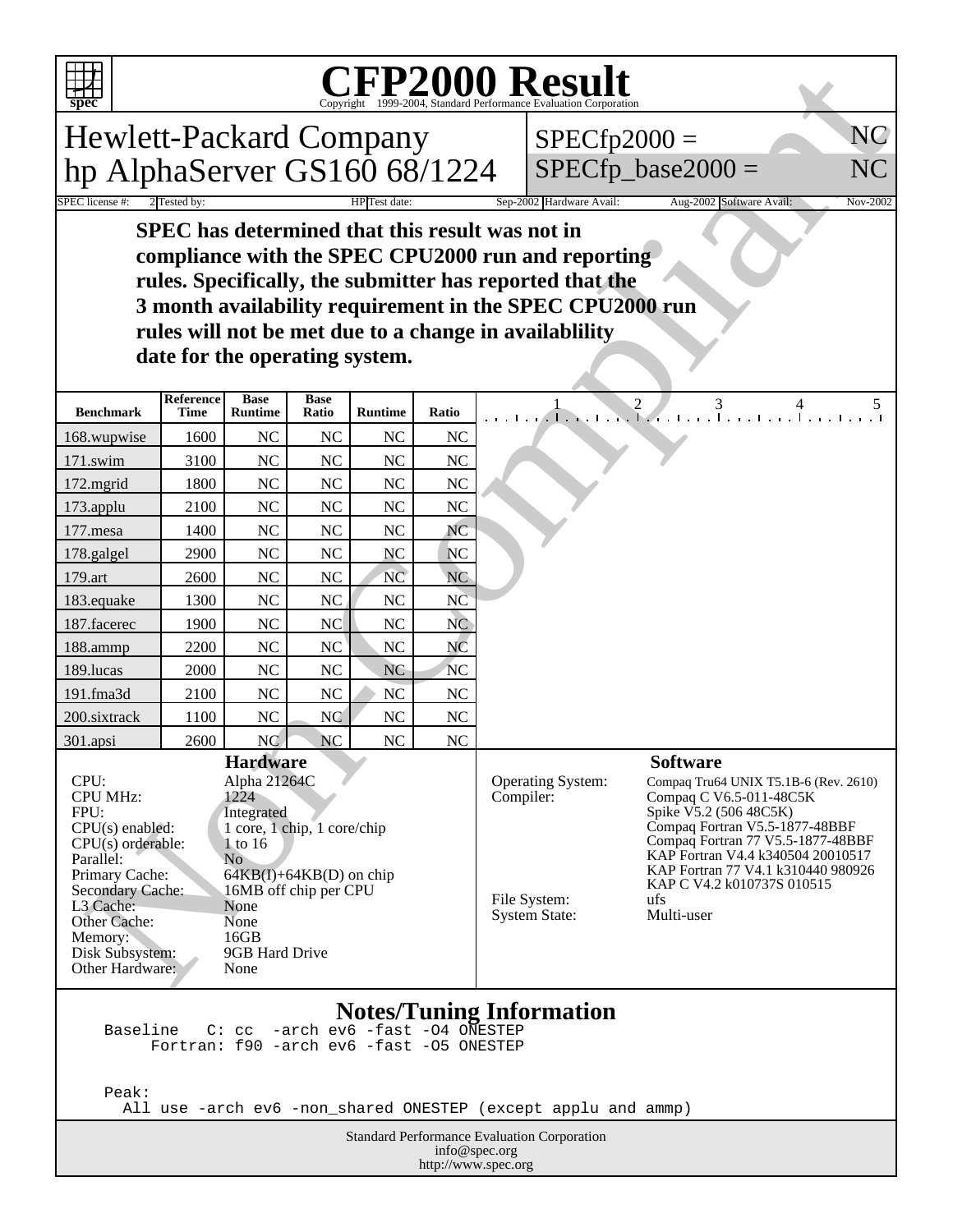

## Copyright ©1999-2004, Standard Performance Evaluation Corporation

| <b>CFP2000 Result</b><br>spec                                                                                                                                                                                                                 |                   |                               |                      |                                      |                                                                                                                                                                   |                                                        |                      |    |
|-----------------------------------------------------------------------------------------------------------------------------------------------------------------------------------------------------------------------------------------------|-------------------|-------------------------------|----------------------|--------------------------------------|-------------------------------------------------------------------------------------------------------------------------------------------------------------------|--------------------------------------------------------|----------------------|----|
| <b>Hewlett-Packard Company</b>                                                                                                                                                                                                                |                   |                               |                      | $SPECfp2000 =$                       |                                                                                                                                                                   | NC                                                     |                      |    |
|                                                                                                                                                                                                                                               |                   |                               |                      |                                      |                                                                                                                                                                   |                                                        | $SPECfp\_base2000 =$ | NC |
| hp AlphaServer GS160 68/1224                                                                                                                                                                                                                  |                   |                               |                      |                                      |                                                                                                                                                                   |                                                        |                      |    |
| <b>SPEC</b> license #:<br>Sep-2002 Hardware Avail:<br>2 Tested by<br>Aug-2002 Software Avail:<br>Nov-2002<br>HPTest date:                                                                                                                     |                   |                               |                      |                                      |                                                                                                                                                                   |                                                        |                      |    |
| SPEC has determined that this result was not in<br>compliance with the SPEC CPU2000 run and reporting<br>rules. Specifically, the submitter has reported that the<br>3 month availability requirement in the SPEC CPU2000 run                 |                   |                               |                      |                                      |                                                                                                                                                                   |                                                        |                      |    |
|                                                                                                                                                                                                                                               |                   |                               |                      |                                      |                                                                                                                                                                   | rules will not be met due to a change in availablility |                      |    |
|                                                                                                                                                                                                                                               |                   |                               |                      | date for the operating system.       |                                                                                                                                                                   |                                                        |                      |    |
| <b>Benchmark</b>                                                                                                                                                                                                                              | Reference<br>Time | <b>Base</b><br><b>Runtime</b> | <b>Base</b><br>Ratio | <b>Runtime</b>                       | Ratio                                                                                                                                                             |                                                        |                      |    |
| 168.wupwise                                                                                                                                                                                                                                   | 1600              | NC                            | NC                   | NC                                   | <b>NC</b>                                                                                                                                                         |                                                        |                      |    |
| 171.swim                                                                                                                                                                                                                                      | 3100              | NC                            | NC                   | NC                                   | <b>NC</b>                                                                                                                                                         |                                                        |                      |    |
| 172.mgrid                                                                                                                                                                                                                                     | 1800              | NC                            | <b>NC</b>            | NC                                   | NC                                                                                                                                                                |                                                        |                      |    |
| 173.applu                                                                                                                                                                                                                                     | 2100              | NC                            | NC                   | NC                                   | <b>NC</b>                                                                                                                                                         |                                                        |                      |    |
| 177.mesa                                                                                                                                                                                                                                      | 1400              | NC                            | NC                   | NC                                   | NC                                                                                                                                                                |                                                        |                      |    |
| 178.galgel                                                                                                                                                                                                                                    | 2900              | NC                            | NC                   | NC                                   | <b>NC</b>                                                                                                                                                         |                                                        |                      |    |
| 179.art                                                                                                                                                                                                                                       | 2600              | NC                            | NC                   | NC                                   | <b>NC</b>                                                                                                                                                         |                                                        |                      |    |
| 183.equake                                                                                                                                                                                                                                    | 1300              | NC                            | NC                   | NC                                   | NC                                                                                                                                                                |                                                        |                      |    |
| 187.facerec                                                                                                                                                                                                                                   | 1900              | NC                            | NC                   | NC                                   | N <sub>C</sub>                                                                                                                                                    |                                                        |                      |    |
| 188.ammp                                                                                                                                                                                                                                      | 2200              | NC                            | NC                   | $\rm NC$                             | NC                                                                                                                                                                |                                                        |                      |    |
| 189.lucas                                                                                                                                                                                                                                     | 2000              | NC                            | NC                   | <b>NC</b>                            | <b>NC</b>                                                                                                                                                         |                                                        |                      |    |
| 191.fma3d<br>200.sixtrack                                                                                                                                                                                                                     | 2100<br>1100      | NC<br>NC                      | NC<br>NC             | NC<br>NC                             | NC<br>NC                                                                                                                                                          |                                                        |                      |    |
| 301.apsi                                                                                                                                                                                                                                      | 2600              | <b>NC</b>                     | <b>NC</b>            | NC                                   | NC                                                                                                                                                                |                                                        |                      |    |
|                                                                                                                                                                                                                                               |                   | <b>Hardware</b>               |                      |                                      |                                                                                                                                                                   |                                                        | <b>Software</b>      |    |
| CPU:<br>Alpha 21264C<br>1224<br><b>CPU MHz:</b><br>FPU:<br>Integrated<br>1 core, 1 chip, 1 core/chip<br>CPU(s) enabled:<br>$CPU(s)$ orderable:<br>1 to 16                                                                                     |                   |                               |                      | Operating System:<br>Compiler:       | Compaq Tru64 UNIX T5.1B-6 (Rev. 2610)<br>Compaq C V6.5-011-48C5K<br>Spike V5.2 (506 48C5K)<br>Compaq Fortran V5.5-1877-48BBF<br>Compaq Fortran 77 V5.5-1877-48BBF |                                                        |                      |    |
| No<br>Parallel:<br>Primary Cache:<br>$64KB(I) + 64KB(D)$ on chip<br>Secondary Cache:<br>16MB off chip per CPU<br>L3 Cache:<br>None<br>Other Cache:<br>None<br>16GB<br>Memory:<br>Disk Subsystem:<br>9GB Hard Drive<br>Other Hardware:<br>None |                   |                               |                      | File System:<br><b>System State:</b> | KAP Fortran V4.4 k340504 20010517<br>KAP Fortran 77 V4.1 k310440 980926<br>KAP C V4.2 k010737S 010515<br>ufs<br>Multi-user                                        |                                                        |                      |    |
| <b>Notes/Tuning Information</b><br>-arch ev6 -fast -04 ONESTEP<br>Baseline<br>C:cc<br>Fortran: f90 -arch ev6 -fast -05 ONESTEP                                                                                                                |                   |                               |                      |                                      |                                                                                                                                                                   |                                                        |                      |    |

Peak:

All use -arch ev6 -non\_shared ONESTEP (except applu and ammp)

Standard Performance Evaluation Corporation info@spec.org http://www.spec.org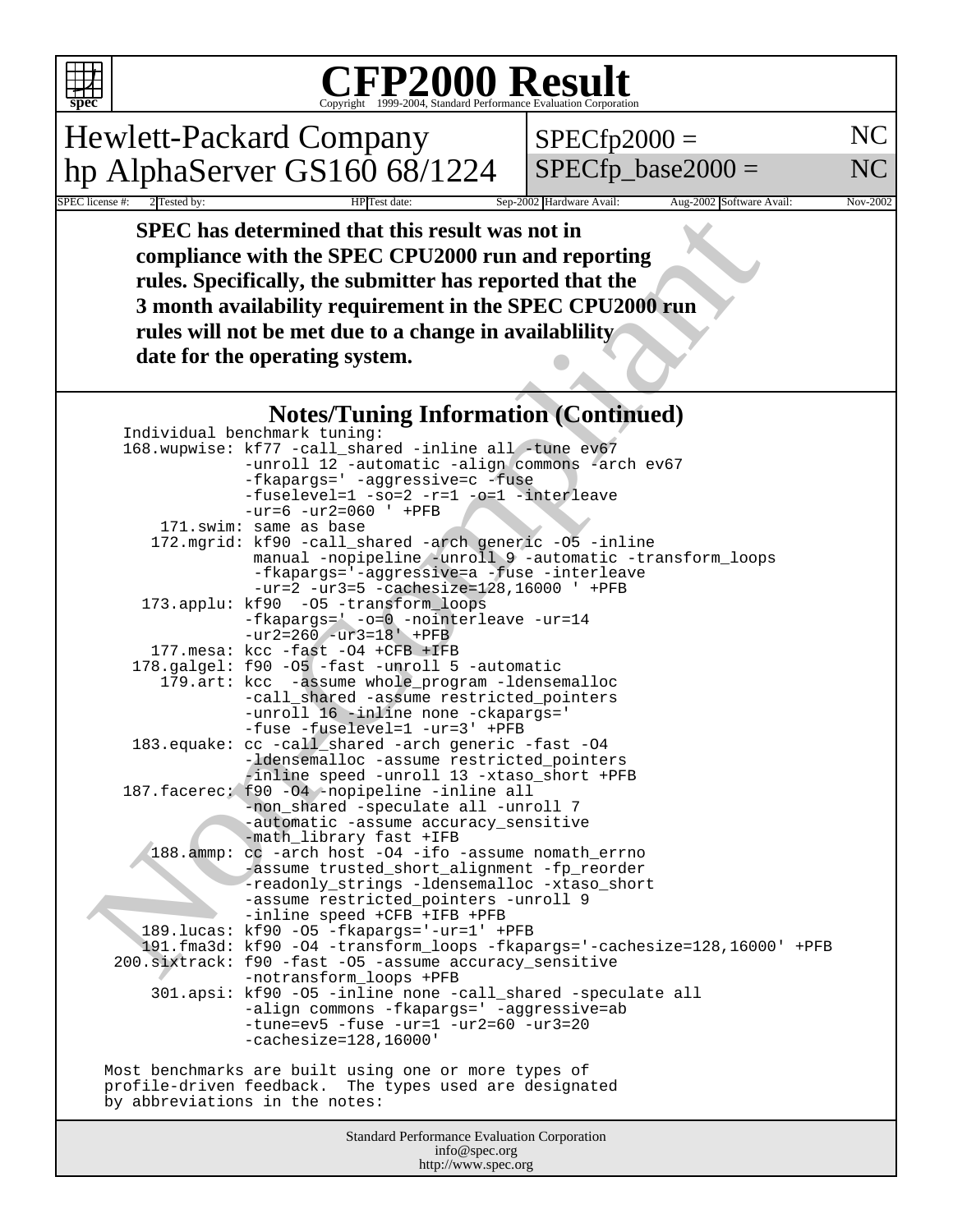# Copyright ©1999-2004, Standard Performance Evaluation Corporation

Hewlett-Packard Company hp AlphaServer GS160 68/1224

 $SPECfp2000 =$ 

 $SPECfp\_base2000 =$ 

NC NC

SPEC license #: 2 Tested by: 100 HP Test date: Sep-2002 Hardware Avail: Aug-2002 Software Avail: Nov-2002  **SPEC has determined that this result was not in compliance with the SPEC CPU2000 run and reporting rules. Specifically, the submitter has reported that the 3 month availability requirement in the SPEC CPU2000 run rules will not be met due to a change in availablility date for the operating system.**

### **Notes/Tuning Information (Continued)**

|                                | SPEC has determined that this result was not in<br>compliance with the SPEC CPU2000 run and reporting<br>rules. Specifically, the submitter has reported that the<br>3 month availability requirement in the SPEC CPU2000 run<br>rules will not be met due to a change in availablility<br>date for the operating system. |  |
|--------------------------------|---------------------------------------------------------------------------------------------------------------------------------------------------------------------------------------------------------------------------------------------------------------------------------------------------------------------------|--|
|                                | <b>Notes/Tuning Information (Continued)</b>                                                                                                                                                                                                                                                                               |  |
|                                | Individual benchmark tuning:                                                                                                                                                                                                                                                                                              |  |
|                                | 168.wupwise: kf77 -call_shared -inline all -tune ev67                                                                                                                                                                                                                                                                     |  |
|                                | -unroll 12 -automatic -align commons -arch ev67                                                                                                                                                                                                                                                                           |  |
|                                | -fkapargs=' -aggressive=c -fuse                                                                                                                                                                                                                                                                                           |  |
|                                | -fuselevel=1 -so=2 -r=1 -o=1 -interleave                                                                                                                                                                                                                                                                                  |  |
|                                | $-ur=6 -ur2=060$ ' +PFB<br>171.swim: same as base                                                                                                                                                                                                                                                                         |  |
|                                | 172.mgrid: kf90 -call_shared -arch generic -05 -inline                                                                                                                                                                                                                                                                    |  |
|                                | manual -nopipeline -unroll 9 -automatic -transform_loops                                                                                                                                                                                                                                                                  |  |
|                                | -fkapargs='-aggressive=a -fuse -interleave                                                                                                                                                                                                                                                                                |  |
|                                | $-ur=2 -ur3=5 -cachesize=128,16000$ ' +PFB                                                                                                                                                                                                                                                                                |  |
| 173.applu: kf90                | -05 -transform loops<br>-fkapargs=' -o=0 -nointerleave -ur=14                                                                                                                                                                                                                                                             |  |
|                                | $-ur2 = 260 - ur3 = 18' + PFB$                                                                                                                                                                                                                                                                                            |  |
|                                | 177.mesa: kcc -fast -04 +CFB +IFB                                                                                                                                                                                                                                                                                         |  |
|                                | 178.galgel: f90 -05 -fast -unroll 5 -automatic                                                                                                                                                                                                                                                                            |  |
|                                | 179.art: kcc -assume whole_program -ldensemalloc                                                                                                                                                                                                                                                                          |  |
|                                | -call_shared -assume restricted_pointers                                                                                                                                                                                                                                                                                  |  |
|                                | -unroll 16 -inline none -ckapargs='<br>-fuse -fuselevel=1 -ur=3' +PFB                                                                                                                                                                                                                                                     |  |
| 183.equake:                    | cc -call_shared -arch generic -fast -04                                                                                                                                                                                                                                                                                   |  |
|                                | -ldensemalloc -assume restricted_pointers                                                                                                                                                                                                                                                                                 |  |
|                                | -inline speed -unroll 13 -xtaso_short +PFB                                                                                                                                                                                                                                                                                |  |
|                                | 187. facerec: f90 -04 -nopipeline -inline all<br>-non_shared -speculate all -unroll 7                                                                                                                                                                                                                                     |  |
|                                | -automatic -assume accuracy_sensitive                                                                                                                                                                                                                                                                                     |  |
|                                | -math_library fast +IFB                                                                                                                                                                                                                                                                                                   |  |
| $188.\text{amp}:$              | cc -arch host -04 -ifo -assume nomath_errno                                                                                                                                                                                                                                                                               |  |
|                                | -assume trusted_short_alignment -fp_reorder                                                                                                                                                                                                                                                                               |  |
|                                | -readonly_strings -ldensemalloc -xtaso_short<br>-assume restricted_pointers -unroll 9                                                                                                                                                                                                                                     |  |
|                                | -inline speed +CFB +IFB +PFB                                                                                                                                                                                                                                                                                              |  |
|                                | 189.lucas: kf90 -05 -fkapargs='-ur=1' +PFB                                                                                                                                                                                                                                                                                |  |
|                                | 191.fma3d: kf90 -04 -transform_loops -fkapargs='-cachesize=128,16000' +PFB                                                                                                                                                                                                                                                |  |
|                                | 200.sixtrack: f90 -fast -05 -assume accuracy_sensitive                                                                                                                                                                                                                                                                    |  |
|                                | -notransform_loops +PFB<br>301.apsi: kf90 -05 -inline none -call_shared -speculate all                                                                                                                                                                                                                                    |  |
|                                | -align commons -fkapargs=' -aggressive=ab                                                                                                                                                                                                                                                                                 |  |
|                                | $-tune=ev5 - fuse -ur=1 -ur2=60 -ur3=20$                                                                                                                                                                                                                                                                                  |  |
|                                | $-cachesize=128,16000'$                                                                                                                                                                                                                                                                                                   |  |
|                                |                                                                                                                                                                                                                                                                                                                           |  |
|                                | Most benchmarks are built using one or more types of<br>profile-driven feedback. The types used are designated                                                                                                                                                                                                            |  |
| by abbreviations in the notes: |                                                                                                                                                                                                                                                                                                                           |  |
|                                |                                                                                                                                                                                                                                                                                                                           |  |
|                                | Standard Performance Evaluation Corporation<br>info@spec.org                                                                                                                                                                                                                                                              |  |

http://www.spec.org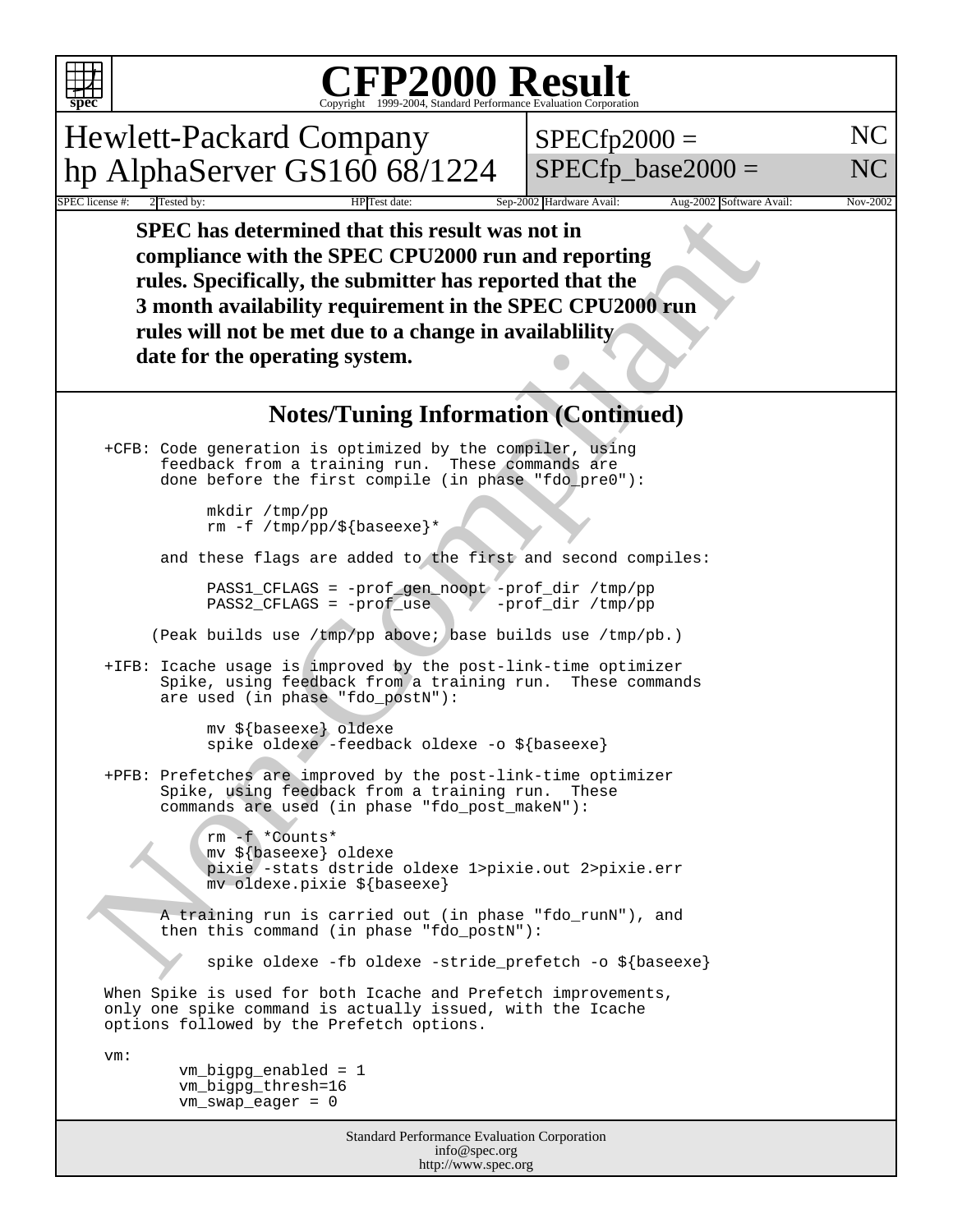#### **CFP2000 Result** Copyright 1999-2004, Standard Performance Evaluation Corporation

Hewlett-Packard Company hp AlphaServer GS160 68/1224  $SPECfp2000 =$ 

NC

SPECfp base2000  $=$ 

Sep-2002 Hardware Avail: Aug-2002 Software Avail: Nov-2002

NC

SPEC has determined that this result was not in<br>
compliance with the SPEC CPU2000 run and reported that the<br>
Tules. Specifically, the submitter has reported that the<br>
3 month availability requirement in the SPEC CPU2000 r  **SPEC has determined that this result was not in compliance with the SPEC CPU2000 run and reporting rules. Specifically, the submitter has reported that the 3 month availability requirement in the SPEC CPU2000 run rules will not be met due to a change in availablility date for the operating system.**

#### **Notes/Tuning Information (Continued)**

 +CFB: Code generation is optimized by the compiler, using feedback from a training run. These commands are done before the first compile (in phase "fdo\_pre0"):

> mkdir /tmp/pp rm -f /tmp/pp/\${baseexe}\*

and these flags are added to the first and second compiles:

 PASS1\_CFLAGS = -prof\_gen\_noopt -prof\_dir /tmp/pp  $PASS2_CFLAGS = -prof\_use$ 

(Peak builds use /tmp/pp above; base builds use /tmp/pb.)

 +IFB: Icache usage is improved by the post-link-time optimizer Spike, using feedback from a training run. These commands are used (in phase "fdo\_postN"):

 mv \${baseexe} oldexe spike oldexe -feedback oldexe -o \${baseexe}

 +PFB: Prefetches are improved by the post-link-time optimizer Spike, using feedback from a training run. These commands are used (in phase "fdo\_post\_makeN"):

> rm -f \*Counts\* mv \${baseexe} oldexe pixie -stats dstride oldexe 1>pixie.out 2>pixie.err mv oldexe.pixie \${baseexe}

 A training run is carried out (in phase "fdo\_runN"), and then this command (in phase "fdo\_postN"):

spike oldexe -fb oldexe -stride\_prefetch -o \${baseexe}

 When Spike is used for both Icache and Prefetch improvements, only one spike command is actually issued, with the Icache options followed by the Prefetch options.

vm:

 vm\_bigpg\_enabled = 1 vm\_bigpg\_thresh=16 vm\_swap\_eager = 0

> Standard Performance Evaluation Corporation info@spec.org http://www.spec.org